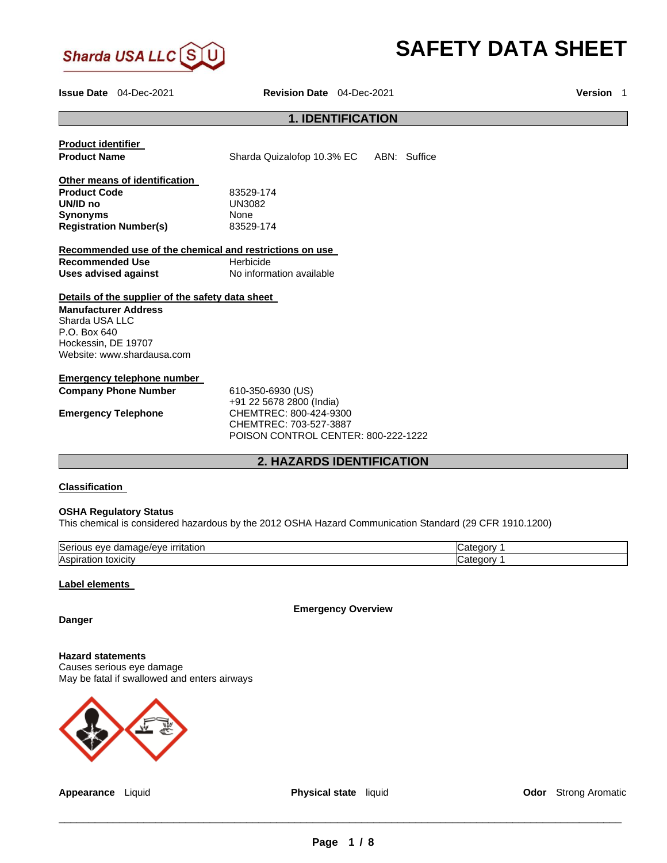

# **SAFETY DATA SHEET**

**Issue Date** 04-Dec-2021 **Revision Date** 04-Dec-2021 **Version** 1

# **1. IDENTIFICATION**

| <b>Product identifier</b><br><b>Product Name</b>        | Sharda Quizalofop 10.3% EC ABN: Suffice                                                                             |  |  |  |
|---------------------------------------------------------|---------------------------------------------------------------------------------------------------------------------|--|--|--|
| Other means of identification                           |                                                                                                                     |  |  |  |
| <b>Product Code</b><br>UN/ID no                         | 83529-174                                                                                                           |  |  |  |
|                                                         | <b>UN3082</b>                                                                                                       |  |  |  |
| <b>Synonyms</b>                                         | <b>None</b>                                                                                                         |  |  |  |
| <b>Registration Number(s)</b>                           | 83529-174                                                                                                           |  |  |  |
|                                                         |                                                                                                                     |  |  |  |
| Recommended use of the chemical and restrictions on use |                                                                                                                     |  |  |  |
| <b>Recommended Use</b>                                  | Herbicide                                                                                                           |  |  |  |
| Uses advised against                                    | No information available                                                                                            |  |  |  |
| Details of the supplier of the safety data sheet        |                                                                                                                     |  |  |  |
| <b>Manufacturer Address</b>                             |                                                                                                                     |  |  |  |
| Sharda USA LLC                                          |                                                                                                                     |  |  |  |
| $P.O.$ Box 640                                          |                                                                                                                     |  |  |  |
| Hockessin, DE 19707                                     |                                                                                                                     |  |  |  |
| Website: www.shardausa.com                              |                                                                                                                     |  |  |  |
| Emergency telephone number                              |                                                                                                                     |  |  |  |
|                                                         |                                                                                                                     |  |  |  |
| <b>Company Phone Number</b>                             | 610-350-6930 (US)                                                                                                   |  |  |  |
| <b>Emergency Telephone</b>                              | +91 22 5678 2800 (India)<br>CHEMTREC: 800-424-9300<br>CHEMTREC: 703-527-3887<br>POISON CONTROL CENTER: 800-222-1222 |  |  |  |

# **2. HAZARDS IDENTIFICATION**

# **Classification**

# **OSHA Regulatory Status**

This chemical is considered hazardous by the 2012 OSHA Hazard Communication Standard (29 CFR 1910.1200)

| Serious<br><u>irritation</u><br>309/916<br>eve<br>пат<br>ю | דר<br>$. \cdot \cdot \cdot$ |
|------------------------------------------------------------|-----------------------------|
| Aspir<br>toxicity<br>auoi                                  | $\mathbf{r}$<br>$. \n 107$  |

### **Label elements**

**Emergency Overview** 

**Danger** 

**Hazard statements** Causes serious eye damage May be fatal if swallowed and enters airways



**Appearance** Liquid **Physical state** liquid **Odor** Strong Aromatic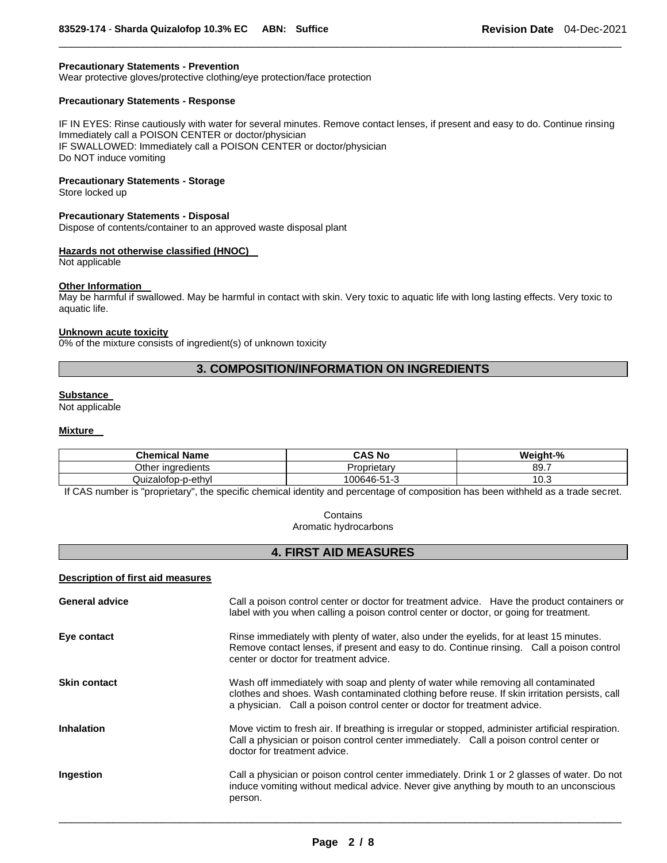### **Precautionary Statements - Prevention**

Wear protective gloves/protective clothing/eye protection/face protection

# **Precautionary Statements - Response**

IF IN EYES: Rinse cautiously with water for several minutes. Remove contact lenses, if present and easy to do. Continue rinsing Immediately call a POISON CENTER or doctor/physician IF SWALLOWED: Immediately call a POISON CENTER or doctor/physician Do NOT induce vomiting

\_\_\_\_\_\_\_\_\_\_\_\_\_\_\_\_\_\_\_\_\_\_\_\_\_\_\_\_\_\_\_\_\_\_\_\_\_\_\_\_\_\_\_\_\_\_\_\_\_\_\_\_\_\_\_\_\_\_\_\_\_\_\_\_\_\_\_\_\_\_\_\_\_\_\_\_\_\_\_\_\_\_\_\_\_\_\_\_\_\_\_\_\_

### **Precautionary Statements - Storage**

Store locked up

### **Precautionary Statements - Disposal**

Dispose of contents/container to an approved waste disposal plant

### **Hazards not otherwise classified (HNOC)**

Not applicable

### **Other Information**

May be harmful if swallowed. May be harmful in contact with skin. Very toxic to aquatic life with long lasting effects. Very toxic to aquatic life.

#### **Unknown acute toxicity**

0% of the mixture consists of ingredient(s) of unknown toxicity

# **3. COMPOSITION/INFORMATION ON INGREDIENTS**

### **Substance**

Not applicable

#### **Mixture**

| <b>Chemical Name</b>      | CAS No                       | Weight-% |
|---------------------------|------------------------------|----------|
| <br>Other<br>∵inaredients | brietan<br>، ب               | 89.7     |
| Quizalotop-p-ethyl        | $-4$<br>ിറ്റ646-<br>. - 51 - | 10.ప     |

If CAS number is "proprietary", the specific chemical identity and percentage of composition has been withheld as a trade secret.

# **Contains**

Aromatic hydrocarbons

# **4. FIRST AID MEASURES**

#### **Description of first aid measures**

| <b>General advice</b> | Call a poison control center or doctor for treatment advice. Have the product containers or<br>label with you when calling a poison control center or doctor, or going for treatment.                                                                            |  |
|-----------------------|------------------------------------------------------------------------------------------------------------------------------------------------------------------------------------------------------------------------------------------------------------------|--|
| Eye contact           | Rinse immediately with plenty of water, also under the eyelids, for at least 15 minutes.<br>Remove contact lenses, if present and easy to do. Continue rinsing. Call a poison control<br>center or doctor for treatment advice.                                  |  |
| <b>Skin contact</b>   | Wash off immediately with soap and plenty of water while removing all contaminated<br>clothes and shoes. Wash contaminated clothing before reuse. If skin irritation persists, call<br>a physician. Call a poison control center or doctor for treatment advice. |  |
| <b>Inhalation</b>     | Move victim to fresh air. If breathing is irregular or stopped, administer artificial respiration.<br>Call a physician or poison control center immediately. Call a poison control center or<br>doctor for treatment advice.                                     |  |
| Ingestion             | Call a physician or poison control center immediately. Drink 1 or 2 glasses of water. Do not<br>induce vomiting without medical advice. Never give anything by mouth to an unconscious<br>person.                                                                |  |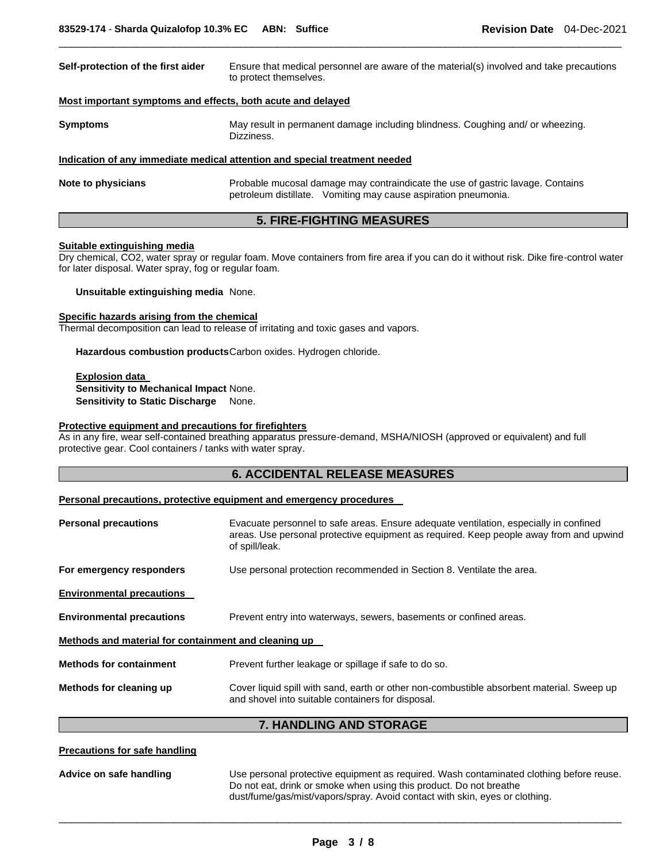| Self-protection of the first aider                          | Ensure that medical personnel are aware of the material(s) involved and take precautions<br>to protect themselves.                               |  |
|-------------------------------------------------------------|--------------------------------------------------------------------------------------------------------------------------------------------------|--|
| Most important symptoms and effects, both acute and delayed |                                                                                                                                                  |  |
| <b>Symptoms</b>                                             | May result in permanent damage including blindness. Coughing and/ or wheezing.<br>Dizziness.                                                     |  |
|                                                             | Indication of any immediate medical attention and special treatment needed                                                                       |  |
| Note to physicians                                          | Probable mucosal damage may contraindicate the use of gastric lavage. Contains<br>petroleum distillate. Vomiting may cause aspiration pneumonia. |  |

\_\_\_\_\_\_\_\_\_\_\_\_\_\_\_\_\_\_\_\_\_\_\_\_\_\_\_\_\_\_\_\_\_\_\_\_\_\_\_\_\_\_\_\_\_\_\_\_\_\_\_\_\_\_\_\_\_\_\_\_\_\_\_\_\_\_\_\_\_\_\_\_\_\_\_\_\_\_\_\_\_\_\_\_\_\_\_\_\_\_\_\_\_

# **5. FIRE-FIGHTING MEASURES**

### **Suitable extinguishing media**

Dry chemical, CO2, water spray or regular foam. Move containers from fire area if you can do it without risk. Dike fire-control water for later disposal. Water spray, fog or regular foam.

**Unsuitable extinguishing media** None.

### **Specific hazards arising from the chemical**

Thermal decomposition can lead to release of irritating and toxic gases and vapors.

**Hazardous combustion products** Carbon oxides. Hydrogen chloride.

**Explosion data Sensitivity to Mechanical Impact** None. **Sensitivity to Static Discharge** None.

### **Protective equipment and precautions for firefighters**

As in any fire, wear self-contained breathing apparatus pressure-demand, MSHA/NIOSH (approved or equivalent) and full protective gear. Cool containers / tanks with water spray.

# **6. ACCIDENTAL RELEASE MEASURES**

#### **Personal precautions, protective equipment and emergency procedures**

| <b>Personal precautions</b>                          | Evacuate personnel to safe areas. Ensure adequate ventilation, especially in confined<br>areas. Use personal protective equipment as required. Keep people away from and upwind<br>of spill/leak. |  |
|------------------------------------------------------|---------------------------------------------------------------------------------------------------------------------------------------------------------------------------------------------------|--|
| For emergency responders                             | Use personal protection recommended in Section 8. Ventilate the area.                                                                                                                             |  |
| <b>Environmental precautions</b>                     |                                                                                                                                                                                                   |  |
| <b>Environmental precautions</b>                     | Prevent entry into waterways, sewers, basements or confined areas.                                                                                                                                |  |
| Methods and material for containment and cleaning up |                                                                                                                                                                                                   |  |
| <b>Methods for containment</b>                       | Prevent further leakage or spillage if safe to do so.                                                                                                                                             |  |
| Methods for cleaning up                              | Cover liquid spill with sand, earth or other non-combustible absorbent material. Sweep up<br>and shovel into suitable containers for disposal.                                                    |  |

# **7. HANDLING AND STORAGE**

#### **Precautions for safe handling**

**Advice on safe handling** Use personal protective equipment as required. Wash contaminated clothing before reuse. Do not eat, drink or smoke when using this product. Do not breathe dust/fume/gas/mist/vapors/spray. Avoid contact with skin, eyes or clothing.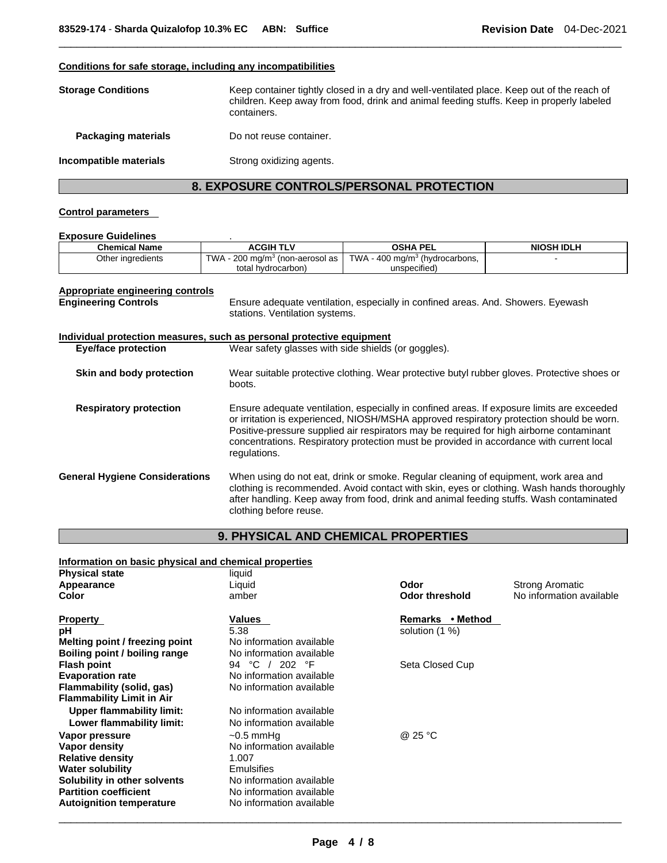### **Conditions for safe storage, including any incompatibilities**

| <b>Storage Conditions</b>  | Keep container tightly closed in a dry and well-ventilated place. Keep out of the reach of<br>children. Keep away from food, drink and animal feeding stuffs. Keep in properly labeled<br>containers. |
|----------------------------|-------------------------------------------------------------------------------------------------------------------------------------------------------------------------------------------------------|
| <b>Packaging materials</b> | Do not reuse container.                                                                                                                                                                               |
| Incompatible materials     | Strong oxidizing agents.                                                                                                                                                                              |

\_\_\_\_\_\_\_\_\_\_\_\_\_\_\_\_\_\_\_\_\_\_\_\_\_\_\_\_\_\_\_\_\_\_\_\_\_\_\_\_\_\_\_\_\_\_\_\_\_\_\_\_\_\_\_\_\_\_\_\_\_\_\_\_\_\_\_\_\_\_\_\_\_\_\_\_\_\_\_\_\_\_\_\_\_\_\_\_\_\_\_\_\_

# **8. EXPOSURE CONTROLS/PERSONAL PROTECTION**

### **Control parameters**

#### **Exposure Guidelines** .

| <b>Chemical Name</b> | <b>ACGIH TLV</b>                              | OSHA PEL                                   | <b>NIOSH IDLH</b> |
|----------------------|-----------------------------------------------|--------------------------------------------|-------------------|
| Other ingredients    | TWA - 200 mg/m <sup>3</sup> (non-aerosol as l | TWA - 400 mg/m <sup>3</sup> (hydrocarbons, |                   |
|                      | total hydrocarbon)                            | unspecified)                               |                   |

# **Appropriate engineering controls**

**Engineering Controls** Ensure adequate ventilation, especially in confined areas. And. Showers. Eyewash stations. Ventilation systems.

# **Individual protection measures, such as personal protective equipment Eye/face protection** Wear safety glasses with side shields (or goggles).

**Skin and body protection** Wear suitable protective clothing. Wear protective butyl rubber gloves. Protective shoes or boots.

**Respiratory protection** Ensure adequate ventilation, especially in confined areas. If exposure limits are exceeded or irritation is experienced, NIOSH/MSHA approved respiratory protection should be worn. Positive-pressure supplied air respirators may be required for high airborne contaminant concentrations. Respiratory protection must be provided in accordance with current local regulations.

# **9. PHYSICAL AND CHEMICAL PROPERTIES**

# **Information on basic physical and chemical properties**

| <b>Physical state</b>            | liquid                   |                       |                          |
|----------------------------------|--------------------------|-----------------------|--------------------------|
| Appearance                       | Liquid                   | Odor                  | <b>Strong Aromatic</b>   |
| Color                            | amber                    | <b>Odor threshold</b> | No information available |
| <b>Property</b>                  | Values                   | • Method<br>Remarks   |                          |
| рH                               | 5.38                     | solution (1 %)        |                          |
| Melting point / freezing point   | No information available |                       |                          |
| Boiling point / boiling range    | No information available |                       |                          |
| <b>Flash point</b>               | °C / 202 °F<br>94        | Seta Closed Cup       |                          |
| <b>Evaporation rate</b>          | No information available |                       |                          |
| Flammability (solid, gas)        | No information available |                       |                          |
| <b>Flammability Limit in Air</b> |                          |                       |                          |
| Upper flammability limit:        | No information available |                       |                          |
| Lower flammability limit:        | No information available |                       |                          |
| Vapor pressure                   | $\sim$ 0.5 mmHq          | @ 25 °C               |                          |
| Vapor density                    | No information available |                       |                          |
| <b>Relative density</b>          | 1.007                    |                       |                          |
| <b>Water solubility</b>          | Emulsifies               |                       |                          |
| Solubility in other solvents     | No information available |                       |                          |
| <b>Partition coefficient</b>     | No information available |                       |                          |
| <b>Autoignition temperature</b>  | No information available |                       |                          |

**General Hygiene Considerations** When using do not eat, drink or smoke. Regular cleaning of equipment, work area and clothing is recommended. Avoid contact with skin, eyes or clothing. Wash hands thoroughly after handling. Keep away from food, drink and animal feeding stuffs. Wash contaminated clothing before reuse.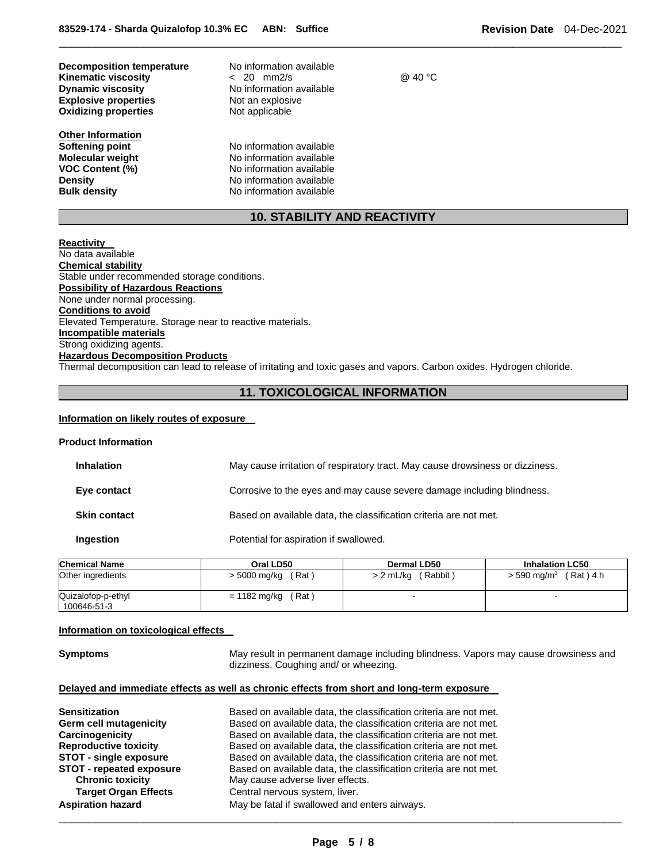| Decomposition temperature<br><b>Kinematic viscosity</b><br><b>Dynamic viscosity</b><br><b>Explosive properties</b><br><b>Oxidizing properties</b> | No information available<br>$< 20$ mm2/s<br>No information available<br>Not an explosive<br>Not applicable | @ 40 °C |
|---------------------------------------------------------------------------------------------------------------------------------------------------|------------------------------------------------------------------------------------------------------------|---------|
| Other Information                                                                                                                                 |                                                                                                            |         |
| Softening point                                                                                                                                   | No information available                                                                                   |         |
| <b>Molecular weight</b>                                                                                                                           | No information available                                                                                   |         |
| <b>VOC Content (%)</b>                                                                                                                            | No information available                                                                                   |         |

**Density No information available Bulk density No information available** 

# **10. STABILITY AND REACTIVITY**

\_\_\_\_\_\_\_\_\_\_\_\_\_\_\_\_\_\_\_\_\_\_\_\_\_\_\_\_\_\_\_\_\_\_\_\_\_\_\_\_\_\_\_\_\_\_\_\_\_\_\_\_\_\_\_\_\_\_\_\_\_\_\_\_\_\_\_\_\_\_\_\_\_\_\_\_\_\_\_\_\_\_\_\_\_\_\_\_\_\_\_\_\_

**Reactivity**  No data available **Chemical stability** Stable under recommended storage conditions. **Possibility of Hazardous Reactions** None under normal processing. **Conditions to avoid** Elevated Temperature. Storage near to reactive materials. **Incompatible materials** Strong oxidizing agents. **Hazardous Decomposition Products** Thermal decomposition can lead to release of irritating and toxic gases and vapors. Carbon oxides. Hydrogen chloride.

# **11. TOXICOLOGICAL INFORMATION**

#### **Information on likely routes of exposure**

#### **Product Information**

| <b>Inhalation</b>   | May cause irritation of respiratory tract. May cause drowsiness or dizziness. |
|---------------------|-------------------------------------------------------------------------------|
| Eye contact         | Corrosive to the eyes and may cause severe damage including blindness.        |
| <b>Skin contact</b> | Based on available data, the classification criteria are not met.             |
| Ingestion           | Potential for aspiration if swallowed.                                        |

| <b>Chemical Name</b>              | Oral LD50             | Dermal LD50               | <b>Inhalation LC50</b>         |
|-----------------------------------|-----------------------|---------------------------|--------------------------------|
| Other ingredients                 | (Rat)<br>> 5000 mg/kg | $> 2$ mL/kg (<br>(Rabbit) | (Rat) 4 h<br>$>$ 590 mg/m $^3$ |
| Quizalofop-p-ethyl<br>100646-51-3 | (Rat)<br>= 1182 mg/kg |                           |                                |

### **Information on toxicological effects**

**Symptoms** May result in permanent damage including blindness. Vapors may cause drowsiness and dizziness. Coughing and/ or wheezing.

### **Delayed and immediate effects as well as chronic effects from short and long-term exposure**

| <b>Sensitization</b>            | Based on available data, the classification criteria are not met. |
|---------------------------------|-------------------------------------------------------------------|
| Germ cell mutagenicity          | Based on available data, the classification criteria are not met. |
| Carcinogenicity                 | Based on available data, the classification criteria are not met. |
| <b>Reproductive toxicity</b>    | Based on available data, the classification criteria are not met. |
| <b>STOT - single exposure</b>   | Based on available data, the classification criteria are not met. |
| <b>STOT - repeated exposure</b> | Based on available data, the classification criteria are not met. |
| <b>Chronic toxicity</b>         | May cause adverse liver effects.                                  |
| <b>Target Organ Effects</b>     | Central nervous system, liver.                                    |
| <b>Aspiration hazard</b>        | May be fatal if swallowed and enters airways.                     |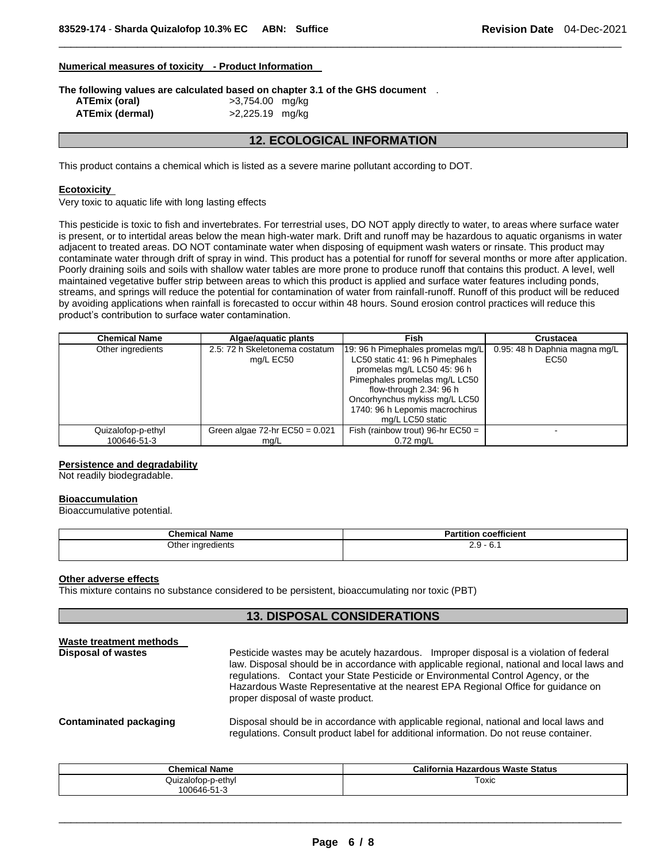### **Numerical measures of toxicity - Product Information**

**The following values are calculated based on chapter 3.1 of the GHS document** .

| ATEmix (oral)   |  |
|-----------------|--|
| ATEmix (dermal) |  |

### **ATEmix (oral)** >3,754.00 mg/kg **ATEmix (dermal)** >2,225.19 mg/kg

# **12. ECOLOGICAL INFORMATION**

\_\_\_\_\_\_\_\_\_\_\_\_\_\_\_\_\_\_\_\_\_\_\_\_\_\_\_\_\_\_\_\_\_\_\_\_\_\_\_\_\_\_\_\_\_\_\_\_\_\_\_\_\_\_\_\_\_\_\_\_\_\_\_\_\_\_\_\_\_\_\_\_\_\_\_\_\_\_\_\_\_\_\_\_\_\_\_\_\_\_\_\_\_

This product contains a chemical which is listed as a severe marine pollutant according to DOT.

### **Ecotoxicity**

Very toxic to aquatic life with long lasting effects

This pesticide is toxic to fish and invertebrates. For terrestrial uses, DO NOT apply directly to water, to areas where surface water is present, or to intertidal areas below the mean high-water mark. Drift and runoff may be hazardous to aquatic organisms in water adjacent to treated areas. DO NOT contaminate water when disposing of equipment wash waters or rinsate. This product may contaminate water through drift of spray in wind. This product has a potential for runoff for several months or more after application. Poorly draining soils and soils with shallow water tables are more prone to produce runoff that contains this product. A level, well maintained vegetative buffer strip between areas to which this product is applied and surface water features including ponds, streams, and springs will reduce the potential for contamination of water from rainfall-runoff. Runoff of this product will be reduced by avoiding applications when rainfall is forecasted to occur within 48 hours. Sound erosion control practices will reduce this product's contribution to surface water contamination.

| <b>Chemical Name</b> | Algae/aguatic plants                                                | Fish                                | Crustacea                     |  |
|----------------------|---------------------------------------------------------------------|-------------------------------------|-------------------------------|--|
| Other ingredients    | 2.5: 72 h Skeletonema costatum<br>19: 96 h Pimephales promelas mg/L |                                     | 0.95: 48 h Daphnia magna mg/L |  |
|                      | mg/L EC50                                                           | LC50 static 41: 96 h Pimephales     | EC50                          |  |
|                      |                                                                     | promelas mg/L LC50 45: 96 h         |                               |  |
|                      |                                                                     | Pimephales promelas mg/L LC50       |                               |  |
|                      |                                                                     | flow-through 2.34: 96 h             |                               |  |
|                      |                                                                     | Oncorhynchus mykiss mg/L LC50       |                               |  |
|                      |                                                                     | 1740: 96 h Lepomis macrochirus      |                               |  |
|                      |                                                                     | mg/L LC50 static                    |                               |  |
| Quizalofop-p-ethyl   | Green algae $72$ -hr $EC50 = 0.021$                                 | Fish (rainbow trout) 96-hr $EC50 =$ | -                             |  |
| 100646-51-3          | mq/L                                                                | $0.72$ mg/L                         |                               |  |

### **Persistence and degradability**

Not readily biodegradable.

### **Bioaccumulation**

Bioaccumulative potential.

| <b>Chemical Name</b> | <br>coefficient<br>rtition<br>---<br>а                                                |
|----------------------|---------------------------------------------------------------------------------------|
| Other ingredients    | $\Omega$ $\Omega$ $\Omega$<br>$\mathbf{C}$<br>ັບ. .<br>ے.ے<br>$\sim$ $\sim$<br>$\sim$ |

### **Other adverse effects**

This mixture contains no substance considered to be persistent, bioaccumulating nor toxic (PBT)

# **13. DISPOSAL CONSIDERATIONS**

| Waste treatment methods<br><b>Disposal of wastes</b> | Pesticide wastes may be acutely hazardous. Improper disposal is a violation of federal<br>law. Disposal should be in accordance with applicable regional, national and local laws and<br>regulations. Contact your State Pesticide or Environmental Control Agency, or the<br>Hazardous Waste Representative at the nearest EPA Regional Office for guidance on<br>proper disposal of waste product. |  |  |  |
|------------------------------------------------------|------------------------------------------------------------------------------------------------------------------------------------------------------------------------------------------------------------------------------------------------------------------------------------------------------------------------------------------------------------------------------------------------------|--|--|--|
| Contaminated packaging                               | Disposal should be in accordance with applicable regional, national and local laws and<br>regulations. Consult product label for additional information. Do not reuse container.                                                                                                                                                                                                                     |  |  |  |

| <b>Chemical Name</b>   | California Hazardous Waste Status |
|------------------------|-----------------------------------|
| -p-ethvl<br>Quizalotop | Toxic<br>$\sim$ $\sim$            |
| 100646-51-3            |                                   |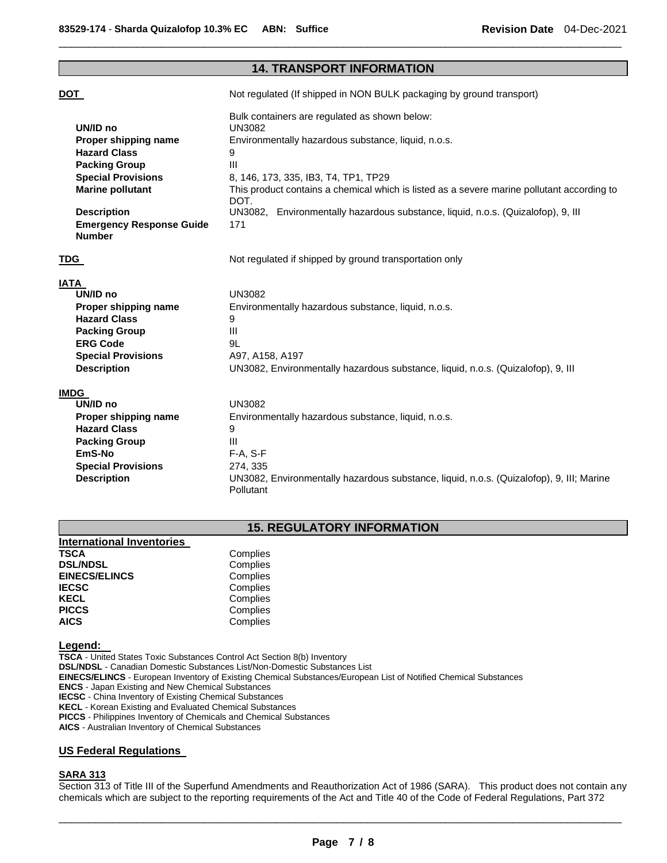| <b>14. TRANSPORT INFORMATION</b>                 |                                                                                                              |  |  |
|--------------------------------------------------|--------------------------------------------------------------------------------------------------------------|--|--|
| <u>DOT</u>                                       | Not regulated (If shipped in NON BULK packaging by ground transport)                                         |  |  |
|                                                  |                                                                                                              |  |  |
|                                                  | Bulk containers are regulated as shown below:                                                                |  |  |
| UN/ID no                                         | <b>UN3082</b>                                                                                                |  |  |
| Proper shipping name                             | Environmentally hazardous substance, liquid, n.o.s.                                                          |  |  |
| <b>Hazard Class</b>                              | 9                                                                                                            |  |  |
| <b>Packing Group</b>                             | III                                                                                                          |  |  |
| <b>Special Provisions</b>                        | 8, 146, 173, 335, IB3, T4, TP1, TP29                                                                         |  |  |
| <b>Marine pollutant</b>                          | This product contains a chemical which is listed as a severe marine pollutant according to<br>DOT.           |  |  |
| <b>Description</b>                               | UN3082, Environmentally hazardous substance, liquid, n.o.s. (Quizalofop), 9, III                             |  |  |
| <b>Emergency Response Guide</b><br><b>Number</b> | 171                                                                                                          |  |  |
| TDG                                              | Not regulated if shipped by ground transportation only                                                       |  |  |
| IATA                                             |                                                                                                              |  |  |
| UN/ID no                                         | <b>UN3082</b>                                                                                                |  |  |
| Proper shipping name                             | Environmentally hazardous substance, liquid, n.o.s.                                                          |  |  |
| <b>Hazard Class</b>                              | 9                                                                                                            |  |  |
| <b>Packing Group</b>                             | III                                                                                                          |  |  |
| <b>ERG Code</b>                                  | 9L                                                                                                           |  |  |
| <b>Special Provisions</b>                        | A97, A158, A197                                                                                              |  |  |
| <b>Description</b>                               | UN3082, Environmentally hazardous substance, liquid, n.o.s. (Quizalofop), 9, III                             |  |  |
| <b>IMDG</b>                                      |                                                                                                              |  |  |
| UN/ID no                                         | <b>UN3082</b>                                                                                                |  |  |
| Proper shipping name                             | Environmentally hazardous substance, liquid, n.o.s.                                                          |  |  |
| <b>Hazard Class</b>                              | 9                                                                                                            |  |  |
| <b>Packing Group</b>                             | Ш                                                                                                            |  |  |
| EmS-No                                           | $F-A, S-F$                                                                                                   |  |  |
| <b>Special Provisions</b>                        | 274, 335                                                                                                     |  |  |
| <b>Description</b>                               | UN3082, Environmentally hazardous substance, liquid, n.o.s. (Quizalofop), 9, III; Marine<br><b>Pollutant</b> |  |  |

\_\_\_\_\_\_\_\_\_\_\_\_\_\_\_\_\_\_\_\_\_\_\_\_\_\_\_\_\_\_\_\_\_\_\_\_\_\_\_\_\_\_\_\_\_\_\_\_\_\_\_\_\_\_\_\_\_\_\_\_\_\_\_\_\_\_\_\_\_\_\_\_\_\_\_\_\_\_\_\_\_\_\_\_\_\_\_\_\_\_\_\_\_

# **15. REGULATORY INFORMATION**

| Complies |
|----------|
| Complies |
| Complies |
| Complies |
| Complies |
| Complies |
| Complies |
|          |

### **Legend:**

**TSCA** - United States Toxic Substances Control Act Section 8(b) Inventory **DSL/NDSL** - Canadian Domestic Substances List/Non-Domestic Substances List **EINECS/ELINCS** - European Inventory of Existing Chemical Substances/European List of Notified Chemical Substances **ENCS** - Japan Existing and New Chemical Substances **IECSC** - China Inventory of Existing Chemical Substances **KECL** - Korean Existing and Evaluated Chemical Substances **PICCS** - Philippines Inventory of Chemicals and Chemical Substances **AICS** - Australian Inventory of Chemical Substances

### **US Federal Regulations**

### **SARA 313**

Section 313 of Title III of the Superfund Amendments and Reauthorization Act of 1986 (SARA). This product does not contain any chemicals which are subject to the reporting requirements of the Act and Title 40 of the Code of Federal Regulations, Part 372